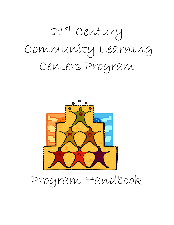



Program Handbook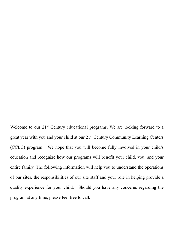Welcome to our 21<sup>st</sup> Century educational programs. We are looking forward to a great year with you and your child at our 21st Century Community Learning Centers (CCLC) program. We hope that you will become fully involved in your child's education and recognize how our programs will benefit your child, you, and your entire family. The following information will help you to understand the operations of our sites, the responsibilities of our site staff and your role in helping provide a quality experience for your child. Should you have any concerns regarding the program at any time, please feel free to call.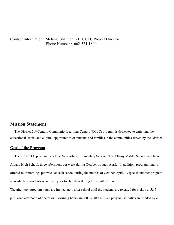Contact Information: Melanie Shannon, 21st CCLC Project Director Phone Number : 662-534-1800

## **Mission Statement**

 The District 21st Century Community Learning Centers (CCLC) program is dedicated to enriching the educational, social and cultural opportunities of students and families in the communities served by the District.

#### **Goal of the Program**

 The 21st CCLC program is held at New Albany Elementary School, New Albany Middle School, and New Albany High School, three afternoons per week during October through April. In addition, programming is offered four mornings per week at each school during the months of October-April. A special summer program is available to students who qualify for twelve days during the month of June.

The afternoon program hours are immediately after school until the students are released for pickup at 5:15 p.m. each afternoon of operation. Morning hours are 7:00-7:30 a.m. All program activities are funded by a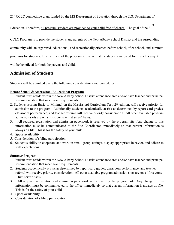21<sup>st</sup> CCLC competitive grant funded by the MS Department of Education through the U.S. Department of

Education. Therefore, all program services are provided to your child free of charge. The goal of the 21 st

CCLC Program is to provide the students and parents of the New Albany School District and the surrounding

community with an organized, educational, and recreationally oriented before-school, after-school, and summer

programs for students. It is the intent of the program to ensure that the students are cared for in such a way it

will be beneficial for both the parents and child.

# **Admission of Students**

Students will be admitted using the following considerations and procedures:

### **Before School & Afterschool Educational Program**

- 1. Student must reside within the New Albany School District attendance area and/or have teacher and principal recommendation that meet grant requirements.
- 2. Students scoring Basic or Minimal on the Mississippi Curriculum Test, 2nd edition, will receive priority for admission to the program. Additionally, students academically at-risk as determined by report card grades, classroom performance, and teacher referral will receive priority consideration. All other available program admission slots are on a "first come – first serve" basis.
- 3. All required registration and admission paperwork is received by the program site. Any change to this information must be communicated to the Site Coordinator immediately so that current information is always on file. This is for the safety of your child.
- 4. Space availability.
- 5. Consideration of sibling participation.
- 6. Student's ability to cooperate and work in small group settings, display appropriate behavior, and adhere to staff expectations.

### **Summer Program**

- 1. Student must reside within the New Albany School District attendance area and/or have teacher and principal recommendation that meet grant requirements.
- 2. Students academically at-risk as determined by report card grades, classroom performance, and teacher referral will receive priority consideration. All other available program admission slots are on a "first come – first serve" basis.
- 3. All required registration and admission paperwork is received by the program site. Any change to this information must be communicated to the office immediately so that current information is always on file. This is for the safety of your child.
- 4. Space availability.
- 5. Consideration of sibling participation.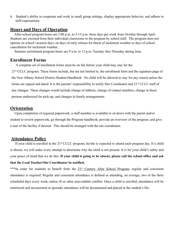6. Student's ability to cooperate and work in small group settings, display appropriate behavior, and adhere to staff expectations.

## **Hours and Days of Operation**

 After-school program hours are 3:00 p.m. to 5:15 p.m. three days per week from October through April. Students are escorted from their individual classrooms to the program by school staff. The program does not operate on school vacation days, on days of early release for threat of inclement weather or days of school cancellation for inclement weather.

Summer enrichment program hours are 9 a.m. to 12 p.m. Tuesday thru Thursday during June.

### **Enrollment Forms**

A complete set of enrollment forms must be on file before your child may stay for the

21st CCLC program. These forms include, but are not limited to, the enrollment form and the signature page of the New Albany School District Student Handbook. No child will be allowed to stay for any reason unless the forms are signed and dated. It is the parents' responsibility to notify Site Coordinator and 21<sup>st</sup> CCLC staff of any changes. These changes would include change of address, change of contact numbers, change in those persons authorized for pick-up, and changes in family arrangements.

## **Orientation**

 Upon completion of required paperwork, a staff member is available to sit down with the parent and/or student to review paperwork, go through the Program handbook, provide an overview of the program, and give a tour of the facility if desired. This should be arranged with the site coordinator.

## **Attendance Policy**

 If your child is enrolled in the 21st CCLC program, he/she is expected to attend each program day. If a child is absent, we will make every attempt to determine why the child is not present. It is for your child's safety and your peace of mind that we do this. **If your child is going to be absent, please call the school office and ask that the Lead Teacher/Site Coordinator be notified.**

\*\*\*In order for students to benefit from the 21<sup>st</sup> Century After School Program, regular and consistent attendance is required. Regular and consistent attendance is defined as attending, on average, two of the three scheduled days every week, unless ill or other unavoidable conflict. Once a child is enrolled, attendance will be monitored and inconsistent or sporadic attendance will be documented and placed in the student's file.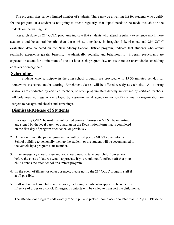The program sites serve a limited number of students. There may be a waiting list for students who qualify for the program. If a student is not going to attend regularly, that "spot" needs to be made available to the students on the waiting list.

Research done on 21<sup>st</sup> CCLC programs indicate that students who attend regularly experience much more academic and behavioral benefits than those whose attendance is irregular. Likewise national 21st CCLC evaluation data collected on the New Albany School District program, indicate that students who attend regularly, experience greater benefits, academically, socially, and behaviorally. Program participants are expected to attend for a minimum of one (1) hour each program day, unless there are unavoidable scheduling conflicts or emergencies.

### **Scheduling**

 Students who participate in the after-school program are provided with 15-30 minutes per day for homework assistance and/or tutoring. Enrichment classes will be offered weekly at each site. All tutoring sessions are conducted by certified teachers, or other program staff directly supervised by certified teachers. All Volunteers not regularly employed by a governmental agency or non-profit community organization are subject to background checks and screenings.

## **Dismissal/Release of Students**

- 1. Pick up may ONLY be made by authorized parties. Permission MUST be in writing and signed by the legal parent or guardian on the Registration Form that is completed on the first day of program attendance, or previously.
- 2. At pick up time, the parent, guardian, or authorized person MUST come into the School building to personally pick up the student, or the student will be accompanied to the vehicle by a program staff member.
- 3. If an emergency should arise and you should need to take your child from school before the close of day, we would appreciate if you would notify office staff that your child attends the after-school or summer program.
- 4. In the event of illness, or other absences, please notify the  $21<sup>st</sup> CCLC$  program staff if at all possible.
- 5. Staff will not release children to anyone, including parents, who appear to be under the influence of drugs or alcohol. Emergency contacts will be called to transport the child home.

The after-school program ends exactly at 5:05 pm and pickup should occur no later than 5:15 p.m. Please be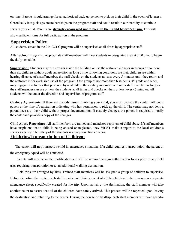on time! Parents should arrange for an authorized back-up person to pick up their child in the event of lateness. Chronically late pick-ups create hardships on the program staff and could result in our inability to continue serving your child. Parents are **strongly encouraged not to pick up their child before 5:05 pm.** This will allow sufficient time for full participation in the program.

# **Supervision Policy**

All students served in the 21<sup>st</sup> CCLC program will be supervised at all times by appropriate staff.

**After School Program:** Appropriate staff members will meet students in designated area at 3:00 p.m. to begin the daily schedule.

**Supervision:** Students may run errands inside the building or use the restroom alone or in groups of no more than six children without adult supervision as long as the following conditions are met: children are within hearing distance of a staff member, the staff checks on the students at least every 5 minutes until they return and the restroom is for exclusive use of the program. One group of not more than 6 students, 4th grade and older, may engage in activities that pose no physical risk to their safety in a room without a staff member as long as the staff member can see or hear the students at all times and checks on them at least every 5 minutes. All students will be under the direction and supervision of program staff.

**Custody Agreements:** If there are custody issues involving your child, you must provide the center with court papers at the time of registration indicating who has permission to pick up the child. The center may not deny a parent access to their child without proper documentation. If custody changes, the parent is required to notify the center and provide a copy of the changes.

**Child Abuse Reporting:** All staff members are trained and mandated reporters of child abuse. If staff members have suspicions that a child is being abused or neglected, they **MUST** make a report to the local children's services agency. The safety of the students is always our first concern.

# **Fieldtrips/Transportation of Children:**

 The center will **not** transport a child in emergency situations. If a child requires transportation, the parent or the emergency squad will be contacted.

 Parents will receive written notification and will be required to sign authorization forms prior to any field trips requiring transportation or to an additional walking destination.

 Field trips are arranged by sites. Trained staff members will be assigned a group of children to supervise. Before departing the center, each staff member will take a count of all the children in their group on a separate attendance sheet, specifically created for the trip. Upon arrival at the destination, the staff member will take another count to assure that all of the children have safely arrived. This process will be repeated upon leaving the destination and returning to the center. During the course of fieldtrip, each staff member will have specific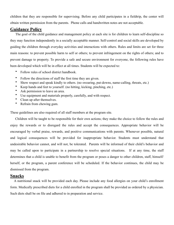children that they are responsible for supervising. Before any child participates in a fieldtrip, the center will obtain written permission from the parents. Phone calls and handwritten notes are not acceptable.

## **Guidance Policy**

 The goal of the child guidance and management policy at each site is for children to learn self-discipline so they may function independently in a socially acceptable manner. Self-control and social skills are developed by guiding the children through everyday activities and interactions with others. Rules and limits are set for three main reasons: to prevent possible harm to self or others; to prevent infringement on the rights of others; and to prevent damage to property. To provide a safe and secure environment for everyone, the following rules have been developed which will be in effect at all times. Students will be expected to:

- Follow rules of school district handbook.
- Follow the directions of staff the first time they are given.
- Show respect and speak kindly to others. (no swearing, put-downs, name-calling, threats, etc.)
- Keep hands and feet to yourself. (no hitting, kicking, pinching, etc.)
- Ask permission to leave an area.
- Use equipment and materials properly, carefully, and with respect.
- Clean up after themselves.
- Refrain from chewing gum.

These guidelines are also required of all staff members at the program site.

 Children will be taught to be responsible for their own actions; they make the choice to follow the rules and enjoy the rewards or to disregard the rules and accept the consequences. Appropriate behavior will be encouraged by verbal praise, rewards, and positive communications with parents. Whenever possible, natural and logical consequences will be provided for inappropriate behavior. Students must understand that undesirable behavior cannot, and will not, be tolerated. Parents will be informed of their child's behavior and may be called upon to participate in a partnership to resolve special situations. If at any time, the staff determines that a child is unable to benefit from the program or poses a danger to other children, staff, himself/ herself, or the program, a parent conference will be scheduled. If the behavior continues, the child may be dismissed from the program.

# **Snacks**

 A nutritional snack will be provided each day. Please include any food allergies on your child's enrollment form. Medically prescribed diets for a child enrolled in the program shall be provided as ordered by a physician. Such diets shall be on file and adhered to in preparation and service.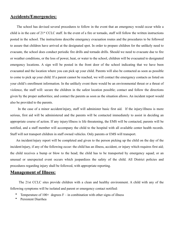# **Accidents/Emergencies:**

 The school has devised several procedures to follow in the event that an emergency would occur while a child is in the care of 21st CCLC staff. In the event of a fire or tornado, staff will follow the written instructions posted in the school. The instructions describe emergency evacuation routes and the procedures to be followed to assure that children have arrived at the designated spot. In order to prepare children for the unlikely need to evacuate, the school does conduct periodic fire drills and tornado drills. Should we need to evacuate due to fire or weather conditions, or the loss of power, heat, or water to the school, children will be evacuated to designated emergency locations. A sign will be posted in the front door of the school indicating that we have been evacuated and the location where you can pick up your child. Parents will also be contacted as soon as possible to come to pick up your child. If a parent cannot be reached, we will contact the emergency contacts as listed on your child's enrollment information. In the unlikely event there would be an environmental threat or a threat of violence, the staff will: secure the children in the safest location possible; contact and follow the directions given by the proper authorities; and contact the parents as soon as the situation allows. An incident report would also be provided to the parents.

 In the case of a minor accident/injury, staff will administer basic first aid. If the injury/illness is more serious, first aid will be administered and the parents will be contacted immediately to assist in deciding an appropriate course of action. If any injury/illness is life threatening, the EMS will be contacted, parents will be notified, and a staff member will accompany the child to the hospital with all available center health records. Staff will not transport children in staff owned vehicles. Only parents or EMS will transport.

 An incident/injury report will be completed and given to the person picking up the child on the day of the incident/injury, if any of the following occur: the child has an illness, accident, or injury which requires first aid; the child receives a bump or blow to the head; the child has to be transported by emergency squad; or an unusual or unexpected event occurs which jeopardizes the safety of the child. All District policies and procedures regarding injury shall be followed, with appropriate reporting.

## **Management of Illness:**

 The 21st CCLC sites provide children with a clean and healthy environment. A child with any of the following symptoms will be isolated and parent or emergency contact notified:

- Temperature of  $100+$  degrees F in combination with other signs of illness
- Persistent Diarrhea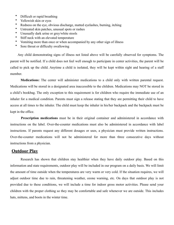- Difficult or rapid breathing
- Yellowish skin or eyes
- Redness on the eye, obvious discharge, matted eyelashes, burning, itching
- Untreated skin patches, unusual spots or rashes
- Unusually dark urine or grey/white stools
- Stiff neck with an elevated temperature
- Vomiting more than once or when accompanied by any other sign of illness
- Sore throat or difficulty swallowing

 Any child demonstrating signs of illness not listed above will be carefully observed for symptoms. The parent will be notified. If a child does not feel well enough to participate in center activities, the parent will be called to pick up the child. Anytime a child is isolated, they will be kept within sight and hearing of a staff member.

 **Medications:** The center will administer medications to a child only with written parental request. Medications will be stored in a designated area inaccessible to the children. Medications may NOT be stored in a child's bookbag. The only exception to this requirement is for children who require the immediate use of an inhaler for a medical condition. Parents must sign a release stating that they are permitting their child to have access at all times to the inhaler. The child must keep the inhaler in his/her backpack and the backpack must be kept in the office.

 **Prescription medications** must be in their original container and administered in accordance with instructions on the label. Over-the-counter medications must also be administered in accordance with label instructions. If parents request any different dosages or uses, a physician must provide written instructions. Over-the-counter medications will not be administered for more than three consecutive days without instructions from a physician.

### **Outdoor Play**

 Research has shown that children stay healthier when they have daily outdoor play. Based on this information and state requirements, outdoor play will be included in our program on a daily basis. We will limit the amount of time outside when the temperatures are very warm or very cold. If the situation requires, we will adjust outdoor time due to rain, threatening weather, ozone warning, etc. On days that outdoor play is not provided due to these conditions, we will include a time for indoor gross motor activities. Please send your children with the proper clothing so they may be comfortable and safe whenever we are outside. This includes hats, mittens, and boots in the winter time.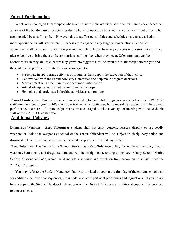# **Parent Participation**

 Parents are encouraged to participate whenever possible in the activities at the center. Parents have access to all areas of the building used for activities during hours of operation but should check in with front office to be accompanied by a staff member. However, due to staff responsibilities and schedules, parents are asked to make appointments with staff when it is necessary to engage in any lengthy conversations. Scheduled appointments allow the staff to focus on you and your child. If you have any concerns or questions at any time, please feel free to bring them to the appropriate staff member when they occur. Often problems can be addressed when they are little, before they grow into bigger issues. We want the relationship between you and the center to be positive. Parents are also encouraged to:

- Participate in appropriate activities  $\&$  programs that support the education of their child.
- Get involved with the Parent Advisory Committee and help make program decisions.
- Make contact with other parents to encourage participation.
- Attend site-sponsored parent trainings and workshops.
- Help plan and participate in healthy activities as appropriate.

**Parent Conferences:** Parent conferences are scheduled by your child's regular classroom teachers. 21<sup>st</sup> CCLC staff provide input to your child's classroom teacher on a continuous basis regarding academic and behavioral performance measures. All parents/guardians are encouraged to take advantage of meeting with the academic staff of the 21st CCLC center often.

# **Additional Policies:**

**Dangerous Weapons – Zero Tolerance:** Students shall not carry, conceal, possess, display, or use deadly weapons or look-alike weapons at school or the center. Offenders will be subject to disciplinary action and dismissal. Under no circumstances are concealed weapons permitted at any center.

 **Zero Tolerance:** The New Albany School District has a Zero-Tolerance policy for incidents involving threats, weapons, harassment, and drugs, etc. Students will be disciplined according to the New Albany School District Serious Misconduct Code, which could include suspension and expulsion from school and dismissal from the 21st CCLC program.

 You may refer to the Student Handbook that was provided to you on the first day of the current school year for additional behavior consequences, dress code, and other pertinent procedures and regulations. If you do not have a copy of the Student Handbook, please contact the District Office and an additional copy will be provided to you at no cost.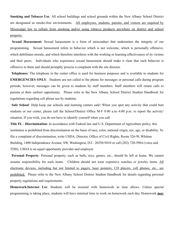**Smoking and Tobacco Use***:* All school buildings and school grounds within the New Albany School District are designated as smoke-free environments. All employees, students, parents, and visitors are required by Mississippi law to refrain from smoking and/or using tobacco products anywhere on district and school property.

 **Sexual Harassment:** Sexual harassment is a form of misconduct that undermines the integrity of our programming. Sexual harassment refers to behavior which is not welcome, which is personally offensive, which debilitates morale, and which therefore interferes with the working or learning effectiveness of its victims and their peers. Individuals who experience sexual harassment should make it clear that such behavior is offensive to them and should promptly process a complaint with the site director.

 **Telephones**: The telephone in the center office is used for business purposes and is available to students for **EMERGENCIES ONLY**. Students are not called to the phone for messages or personal calls during program periods; however, messages can be given to students by staff members. Staff members will return calls to parents at their earliest opportunity. Please refer to the New Albany School District Student Handbook for regulations regarding cell phone use by students.

**Safe School***:* Help keep our schools and learning centers safe! When you spot any activity that could hurt students or our center, please call the School/District Office M-F 8:00 a.m.-4:00 p.m. to report the activity/ situation. If you wish, you do not have to identify yourself when you call.

**Title IX – Discrimination:** In accordance with Federal law and U.S. Department of Agriculture policy, this institution is prohibited from discrimination on the basis of race, color, national origin, sex, age, or disability. To file a complaint of discrimination, write USDA, Director, Office of Civil Rights, Room 326-W, Whitten Building, 1400 Independence Avenue, SW, Washington, D.C. 20250-9410 or call (202) 720-5964 (voice and TDD). USDA is an equal opportunity provider and employer.

**Personal Property**: Personal property, such as balls, toys, games, etc., should be left at home. We cannot assume responsibility for such items. Children should not wear expensive watches or jewelry items. All electronic devices, including but not limited to pagers, laser pointers, CD players, cell phones, etc., are prohibited. Please refer to the New Albany School District Student Handbook for details regarding personal property regulations and requirements.

**Homework/Internet Use**: Students will be assisted with homework as time allows. Unless special programming is taking place, students will have minimal time to work on homework each day. Homework **may**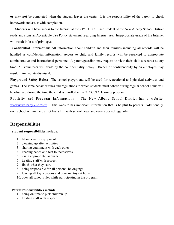**or may not** be completed when the student leaves the center. It is the responsibility of the parent to check homework and assist with completion.

Students will have access to the Internet at the 21<sup>st</sup> CCLC. Each student of the New Albany School District reads and signs an Acceptable Use Policy statement regarding Internet use. Inappropriate usage of the Internet will result in loss of privileges.

**Confidential Information:** All information about children and their families including all records will be handled as confidential information. Access to child and family records will be restricted to appropriate administrative and instructional personnel. A parent/guardian may request to view their child's records at any time. All volunteers will abide by the confidentiality policy. Breach of confidentiality by an employee may result in immediate dismissal.

**Playground Safety Rules:** The school playground will be used for recreational and physical activities and games. The same behavior rules and regulations to which students must adhere during regular school hours will be observed during the time the child is enrolled in the 21st CCLC learning program.

**Publicity and Program Information:** The New Albany School District has a website: [www.newalbany.k12.ms.us](http://www.newalbany.k12.ms.us). This website has important information that is helpful to parents Additionally, each school within the district has a link with school news and events posted regularly.

# **Responsibilities**

### **Student responsibilities include:**

- 1. taking care of equipment
- 2. cleaning up after activities
- 3. sharing equipment with each other
- 4. keeping hands and feet to themselves
- 5. using appropriate language
- 6. treating staff with respect
- 7. finish what they start
- 8. being responsible for all personal belongings
- 9. leaving all toy weapons and personal toys at home
- 10. obey all school rules while participating in the program

#### **Parent responsibilities include:**

- 1. being on time to pick children up
- 2. treating staff with respect